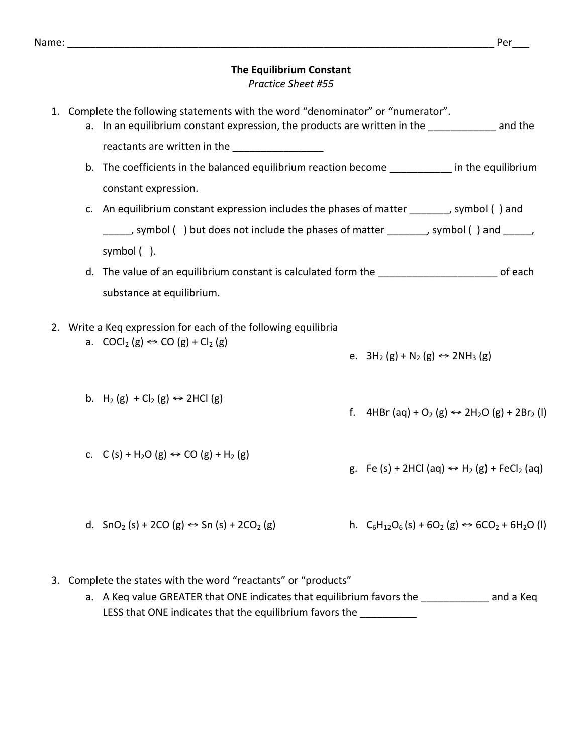## **The Equilibrium Constant** *Practice Sheet #55*

- 1. Complete the following statements with the word "denominator" or "numerator". a. In an equilibrium constant expression, the products are written in the \_\_\_\_\_\_\_\_\_\_\_\_\_ and the reactants are written in the b. The coefficients in the balanced equilibrium reaction become **come** in the equilibrium constant expression. c. An equilibrium constant expression includes the phases of matter \_\_\_\_\_\_\_, symbol () and , symbol () but does not include the phases of matter and possible ( ) and  $\qquad$ , symbol $($ ). d. The value of an equilibrium constant is calculated form the **Languary and Constantine** of each substance at equilibrium. 2. Write a Keg expression for each of the following equilibria a.  $COCl<sub>2</sub>(g) \leftrightarrow CO(g) + Cl<sub>2</sub>(g)$ b. H<sub>2</sub> (g) + Cl<sub>2</sub> (g)  $\leftrightarrow$  2HCl (g) c. C (s) + H<sub>2</sub>O (g)  $\leftrightarrow$  CO (g) + H<sub>2</sub> (g) d.  $SnO<sub>2</sub>(s) + 2CO(g) \leftrightarrow Sn(s) + 2CO<sub>2</sub>(g)$ e.  $3H_2(g) + N_2(g)$  ⇔ 2NH<sub>3</sub> (g) f. 4HBr (aq) + O<sub>2</sub> (g)  $\leftrightarrow$  2H<sub>2</sub>O (g) + 2Br<sub>2</sub> (l) g. Fe  $(s)$  + 2HCl  $(aq) \leftrightarrow H_2(g)$  + FeCl<sub>2</sub>  $(aq)$ h. C<sub>6</sub>H<sub>12</sub>O<sub>6</sub>(s) + 6O<sub>2</sub> (g)  $\Leftrightarrow$  6CO<sub>2</sub> + 6H<sub>2</sub>O (l)
- 3. Complete the states with the word "reactants" or "products"
	- a. A Keq value GREATER that ONE indicates that equilibrium favors the \_\_\_\_\_\_\_\_\_\_\_\_\_\_\_ and a Keq LESS that ONE indicates that the equilibrium favors the